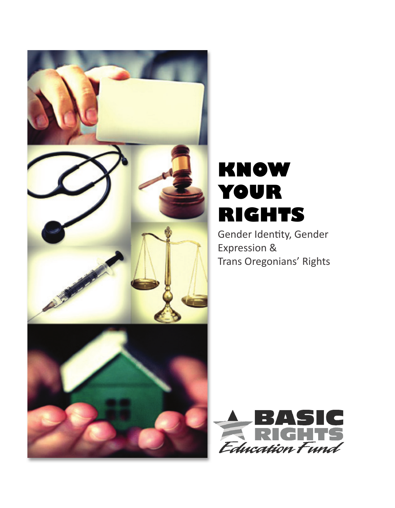

# **Know your rIgHts**

Gender Identity, Gender Expression & Trans Oregonians' Rights

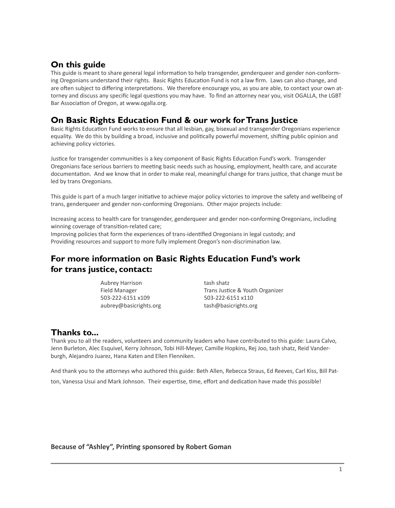#### **On this guide**

This guide is meant to share general legal information to help transgender, genderqueer and gender non-conforming Oregonians understand their rights. Basic Rights Education Fund is not a law firm. Laws can also change, and are often subject to differing interpretations. We therefore encourage you, as you are able, to contact your own attorney and discuss any specific legal questions you may have. To find an attorney near you, visit OGALLA, the LGBT Bar Association of Oregon, at www.ogalla.org.

#### **On Basic Rights Education Fund & our work for Trans Justice**

Basic Rights Education Fund works to ensure that all lesbian, gay, bisexual and transgender Oregonians experience equality. We do this by building a broad, inclusive and politically powerful movement, shifting public opinion and achieving policy victories.

Justice for transgender communities is a key component of Basic Rights Education Fund's work. Transgender Oregonians face serious barriers to meeting basic needs such as housing, employment, health care, and accurate documentation. And we know that in order to make real, meaningful change for trans justice, that change must be led by trans Oregonians.

This guide is part of a much larger initiative to achieve major policy victories to improve the safety and wellbeing of trans, genderqueer and gender non-conforming Oregonians. Other major projects include:

Increasing access to health care for transgender, genderqueer and gender non-conforming Oregonians, including winning coverage of transition-related care;

Improving policies that form the experiences of trans-identified Oregonians in legal custody; and Providing resources and support to more fully implement Oregon's non-discrimination law.

### **For more information on Basic Rights Education Fund's work for trans justice, contact:**

Aubrey Harrison Field Manager 503-222-6151 x109 aubrey@basicrights.org tash shatz Trans Justice & Youth Organizer 503-222-6151 x110 tash@basicrights.org

#### **Thanks to...**

Thank you to all the readers, volunteers and community leaders who have contributed to this guide: Laura Calvo, Jenn Burleton, Alec Esquivel, Kerry Johnson, Tobi Hill-Meyer, Camille Hopkins, Rej Joo, tash shatz, Reid Vanderburgh, Alejandro Juarez, Hana Katen and Ellen Flenniken.

And thank you to the attorneys who authored this guide: Beth Allen, Rebecca Straus, Ed Reeves, Carl Kiss, Bill Patton, Vanessa Usui and Mark Johnson. Their expertise, time, effort and dedication have made this possible!

**Because of "Ashley", Printing sponsored by Robert Goman**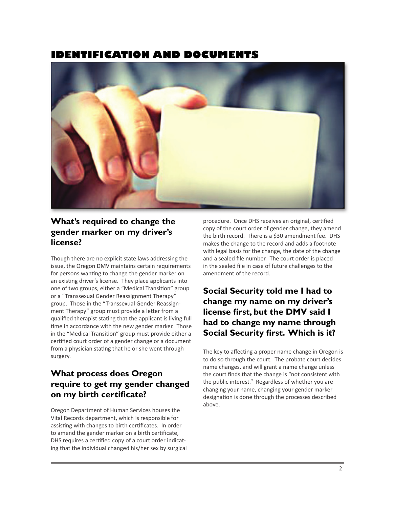### **IdentIfIcatIon and documents**



#### **What's required to change the gender marker on my driver's license?**

Though there are no explicit state laws addressing the issue, the Oregon DMV maintains certain requirements for persons wanting to change the gender marker on an existing driver's license. They place applicants into one of two groups, either a "Medical Transition" group or a "Transsexual Gender Reassignment Therapy" group. Those in the "Transsexual Gender Reassignment Therapy" group must provide a letter from a qualified therapist stating that the applicant is living full time in accordance with the new gender marker. Those in the "Medical Transition" group must provide either a certified court order of a gender change or a document from a physician stating that he or she went through surgery.

### **What process does Oregon require to get my gender changed on my birth certificate?**

Oregon Department of Human Services houses the Vital Records department, which is responsible for assisting with changes to birth certificates. In order to amend the gender marker on a birth certificate, DHS requires a certified copy of a court order indicating that the individual changed his/her sex by surgical procedure. Once DHS receives an original, certified copy of the court order of gender change, they amend the birth record. There is a \$30 amendment fee. DHS makes the change to the record and adds a footnote with legal basis for the change, the date of the change and a sealed file number. The court order is placed in the sealed file in case of future challenges to the amendment of the record.

### **Social Security told me I had to change my name on my driver's license first, but the DMV said I had to change my name through Social Security first. Which is it?**

The key to affecting a proper name change in Oregon is to do so through the court. The probate court decides name changes, and will grant a name change unless the court finds that the change is "not consistent with the public interest." Regardless of whether you are changing your name, changing your gender marker designation is done through the processes described above.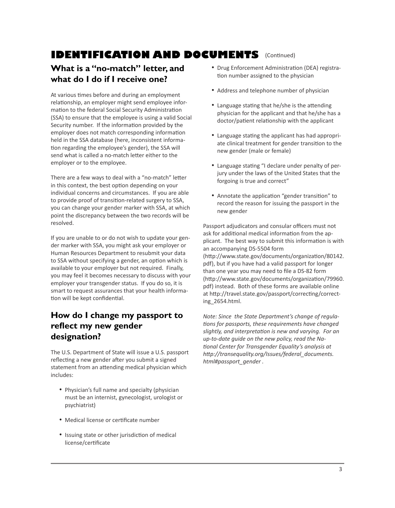# **Identification and documents** (Continued)

#### **What is a "no-match" letter, and what do I do if I receive one?**

At various times before and during an employment relationship, an employer might send employee information to the federal Social Security Administration (SSA) to ensure that the employee is using a valid Social Security number. If the information provided by the employer does not match corresponding information held in the SSA database (here, inconsistent information regarding the employee's gender), the SSA will send what is called a no-match letter either to the employer or to the employee.

There are a few ways to deal with a "no-match" letter in this context, the best option depending on your individual concerns and circumstances. If you are able to provide proof of transition-related surgery to SSA, you can change your gender marker with SSA, at which point the discrepancy between the two records will be resolved.

If you are unable to or do not wish to update your gender marker with SSA, you might ask your employer or Human Resources Department to resubmit your data to SSA without specifying a gender, an option which is available to your employer but not required. Finally, you may feel it becomes necessary to discuss with your employer your transgender status. If you do so, it is smart to request assurances that your health information will be kept confidential.

#### **How do I change my passport to reflect my new gender designation?**

The U.S. Department of State will issue a U.S. passport reflecting a new gender after you submit a signed statement from an attending medical physician which includes:

- Physician's full name and specialty (physician must be an internist, gynecologist, urologist or psychiatrist)
- Medical license or certificate number
- Issuing state or other jurisdiction of medical license/certificate
- Drug Enforcement Administration (DEA) registration number assigned to the physician
- Address and telephone number of physician
- Language stating that he/she is the attending physician for the applicant and that he/she has a doctor/patient relationship with the applicant
- Language stating the applicant has had appropriate clinical treatment for gender transition to the new gender (male or female)
- Language stating "I declare under penalty of perjury under the laws of the United States that the forgoing is true and correct"
- Annotate the application "gender transition" to record the reason for issuing the passport in the new gender

Passport adjudicators and consular officers must not ask for additional medical information from the applicant. The best way to submit this information is with an accompanying DS-5504 form (http://www.state.gov/documents/organization/80142. pdf), but if you have had a valid passport for longer than one year you may need to file a DS-82 form (http://www.state.gov/documents/organization/79960. pdf) instead. Both of these forms are available online at http://travel.state.gov/passport/correcting/correcting\_2654.html.

*Note: Since the State Department's change of regulations for passports, these requirements have changed slightly, and interpretation is new and varying. For an up-to-date guide on the new policy, read the National Center for Transgender Equality's analysis at http://transequality.org/Issues/federal\_documents. html#passport\_gender .*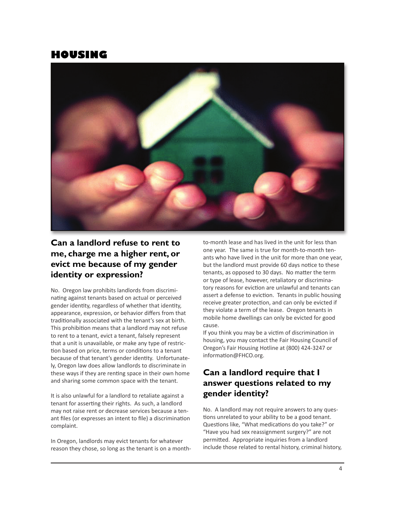### **HousIng**



#### **Can a landlord refuse to rent to me, charge me a higher rent, or evict me because of my gender identity or expression?**

No. Oregon law prohibits landlords from discriminating against tenants based on actual or perceived gender identity, regardless of whether that identity, appearance, expression, or behavior differs from that traditionally associated with the tenant's sex at birth. This prohibition means that a landlord may not refuse to rent to a tenant, evict a tenant, falsely represent that a unit is unavailable, or make any type of restriction based on price, terms or conditions to a tenant because of that tenant's gender identity. Unfortunately, Oregon law does allow landlords to discriminate in these ways if they are renting space in their own home and sharing some common space with the tenant.

It is also unlawful for a landlord to retaliate against a tenant for asserting their rights. As such, a landlord may not raise rent or decrease services because a tenant files (or expresses an intent to file) a discrimination complaint.

In Oregon, landlords may evict tenants for whatever reason they chose, so long as the tenant is on a monthto-month lease and has lived in the unit for less than one year. The same is true for month-to-month tenants who have lived in the unit for more than one year, but the landlord must provide 60 days notice to these tenants, as opposed to 30 days. No matter the term or type of lease, however, retaliatory or discriminatory reasons for eviction are unlawful and tenants can assert a defense to eviction. Tenants in public housing receive greater protection, and can only be evicted if they violate a term of the lease. Oregon tenants in mobile home dwellings can only be evicted for good cause.

If you think you may be a victim of discrimination in housing, you may contact the Fair Housing Council of Oregon's Fair Housing Hotline at (800) 424-3247 or information@FHCO.org.

### **Can a landlord require that I answer questions related to my gender identity?**

No. A landlord may not require answers to any questions unrelated to your ability to be a good tenant. Questions like, "What medications do you take?" or "Have you had sex reassignment surgery?" are not permitted. Appropriate inquiries from a landlord include those related to rental history, criminal history,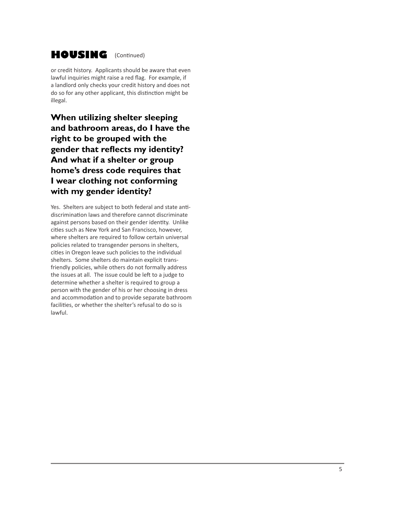# **HOUSING** (Continued)

or credit history. Applicants should be aware that even lawful inquiries might raise a red flag. For example, if a landlord only checks your credit history and does not do so for any other applicant, this distinction might be illegal.

**When utilizing shelter sleeping and bathroom areas, do I have the right to be grouped with the gender that reflects my identity? And what if a shelter or group home's dress code requires that I wear clothing not conforming with my gender identity?** 

Yes. Shelters are subject to both federal and state antidiscrimination laws and therefore cannot discriminate against persons based on their gender identity. Unlike cities such as New York and San Francisco, however, where shelters are required to follow certain universal policies related to transgender persons in shelters, cities in Oregon leave such policies to the individual shelters. Some shelters do maintain explicit transfriendly policies, while others do not formally address the issues at all. The issue could be left to a judge to determine whether a shelter is required to group a person with the gender of his or her choosing in dress and accommodation and to provide separate bathroom facilities, or whether the shelter's refusal to do so is lawful.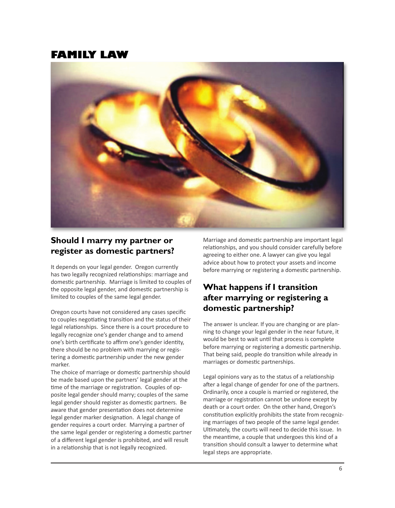### **famIly law**



#### **Should I marry my partner or register as domestic partners?**

It depends on your legal gender. Oregon currently has two legally recognized relationships: marriage and domestic partnership. Marriage is limited to couples of the opposite legal gender, and domestic partnership is limited to couples of the same legal gender.

Oregon courts have not considered any cases specific to couples negotiating transition and the status of their legal relationships. Since there is a court procedure to legally recognize one's gender change and to amend one's birth certificate to affirm one's gender identity, there should be no problem with marrying or registering a domestic partnership under the new gender marker.

The choice of marriage or domestic partnership should be made based upon the partners' legal gender at the time of the marriage or registration. Couples of opposite legal gender should marry; couples of the same legal gender should register as domestic partners. Be aware that gender presentation does not determine legal gender marker designation. A legal change of gender requires a court order. Marrying a partner of the same legal gender or registering a domestic partner of a different legal gender is prohibited, and will result in a relationship that is not legally recognized.

Marriage and domestic partnership are important legal relationships, and you should consider carefully before agreeing to either one. A lawyer can give you legal advice about how to protect your assets and income before marrying or registering a domestic partnership.

### **What happens if I transition after marrying or registering a domestic partnership?**

The answer is unclear. If you are changing or are planning to change your legal gender in the near future, it would be best to wait until that process is complete before marrying or registering a domestic partnership. That being said, people do transition while already in marriages or domestic partnerships.

Legal opinions vary as to the status of a relationship after a legal change of gender for one of the partners. Ordinarily, once a couple is married or registered, the marriage or registration cannot be undone except by death or a court order. On the other hand, Oregon's constitution explicitly prohibits the state from recognizing marriages of two people of the same legal gender. Ultimately, the courts will need to decide this issue. In the meantime, a couple that undergoes this kind of a transition should consult a lawyer to determine what legal steps are appropriate.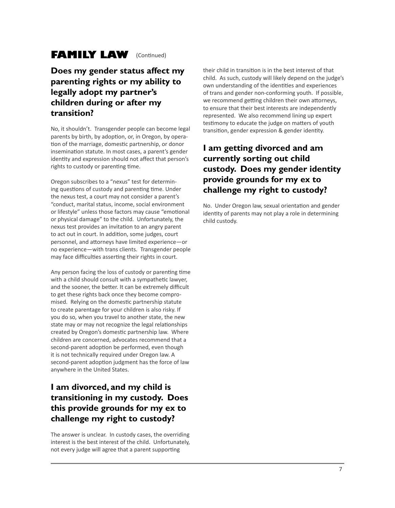# **FAMILY LAW** (Continued)

#### **Does my gender status affect my parenting rights or my ability to legally adopt my partner's children during or after my transition?**

No, it shouldn't. Transgender people can become legal parents by birth, by adoption, or, in Oregon, by operation of the marriage, domestic partnership, or donor insemination statute. In most cases, a parent's gender identity and expression should not affect that person's rights to custody or parenting time.

Oregon subscribes to a "nexus" test for determining questions of custody and parenting time. Under the nexus test, a court may not consider a parent's "conduct, marital status, income, social environment or lifestyle" unless those factors may cause "emotional or physical damage" to the child. Unfortunately, the nexus test provides an invitation to an angry parent to act out in court. In addition, some judges, court personnel, and attorneys have limited experience—or no experience—with trans clients. Transgender people may face difficulties asserting their rights in court.

Any person facing the loss of custody or parenting time with a child should consult with a sympathetic lawyer, and the sooner, the better. It can be extremely difficult to get these rights back once they become compromised. Relying on the domestic partnership statute to create parentage for your children is also risky. If you do so, when you travel to another state, the new state may or may not recognize the legal relationships created by Oregon's domestic partnership law. Where children are concerned, advocates recommend that a second-parent adoption be performed, even though it is not technically required under Oregon law. A second-parent adoption judgment has the force of law anywhere in the United States.

### **I am divorced, and my child is transitioning in my custody. Does this provide grounds for my ex to challenge my right to custody?**

The answer is unclear. In custody cases, the overriding interest is the best interest of the child. Unfortunately, not every judge will agree that a parent supporting

their child in transition is in the best interest of that child. As such, custody will likely depend on the judge's own understanding of the identities and experiences of trans and gender non-conforming youth. If possible, we recommend getting children their own attorneys, to ensure that their best interests are independently represented. We also recommend lining up expert testimony to educate the judge on matters of youth transition, gender expression & gender identity.

### **I am getting divorced and am currently sorting out child custody. Does my gender identity provide grounds for my ex to challenge my right to custody?**

No. Under Oregon law, sexual orientation and gender identity of parents may not play a role in determining child custody.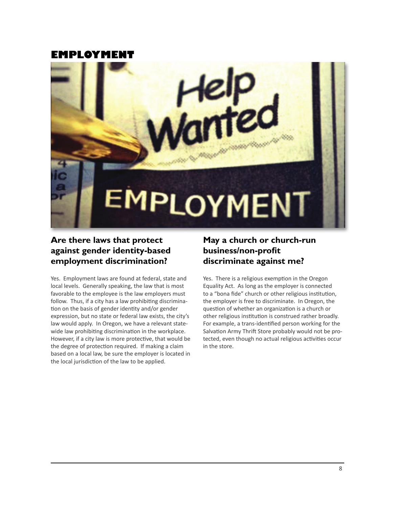### **employment**



#### **Are there laws that protect against gender identity-based employment discrimination?**

Yes. Employment laws are found at federal, state and local levels. Generally speaking, the law that is most favorable to the employee is the law employers must follow. Thus, if a city has a law prohibiting discrimination on the basis of gender identity and/or gender expression, but no state or federal law exists, the city's law would apply. In Oregon, we have a relevant statewide law prohibiting discrimination in the workplace. However, if a city law is more protective, that would be the degree of protection required. If making a claim based on a local law, be sure the employer is located in the local jurisdiction of the law to be applied.

#### **May a church or church-run business/non-profit discriminate against me?**

Yes. There is a religious exemption in the Oregon Equality Act. As long as the employer is connected to a "bona fide" church or other religious institution, the employer is free to discriminate. In Oregon, the question of whether an organization is a church or other religious institution is construed rather broadly. For example, a trans-identified person working for the Salvation Army Thrift Store probably would not be protected, even though no actual religious activities occur in the store.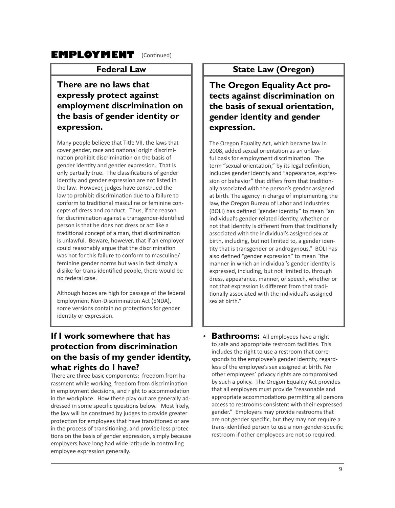## **EMPLOYMENT** (Continued)

#### **Federal Law**

#### **There are no laws that expressly protect against employment discrimination on the basis of gender identity or expression.**

Many people believe that Title VII, the laws that cover gender, race and national origin discrimination prohibit discrimination on the basis of gender identity and gender expression. That is only partially true. The classifications of gender identity and gender expression are not listed in the law. However, judges have construed the law to prohibit discrimination due to a failure to conform to traditional masculine or feminine concepts of dress and conduct. Thus, if the reason for discrimination against a transgender-identified person is that he does not dress or act like a traditional concept of a man, that discrimination is unlawful. Beware, however, that if an employer could reasonably argue that the discrimination was not for this failure to conform to masculine/ feminine gender norms but was in fact simply a dislike for trans-identified people, there would be no federal case.

Although hopes are high for passage of the federal Employment Non-Discrimination Act (ENDA), some versions contain no protections for gender identity or expression.

#### **State Law (Oregon)**

**The Oregon Equality Act protects against discrimination on the basis of sexual orientation, gender identity and gender expression.** 

The Oregon Equality Act, which became law in 2008, added sexual orientation as an unlawful basis for employment discrimination. The term "sexual orientation," by its legal definition, includes gender identity and "appearance, expression or behavior" that differs from that traditionally associated with the person's gender assigned at birth. The agency in charge of implementing the law, the Oregon Bureau of Labor and Industries (BOLI) has defined "gender identity" to mean "an individual's gender-related identity, whether or not that identity is different from that traditionally associated with the individual's assigned sex at birth, including, but not limited to, a gender identity that is transgender or androgynous." BOLI has also defined "gender expression" to mean "the manner in which an individual's gender identity is expressed, including, but not limited to, through dress, appearance, manner, or speech, whether or not that expression is different from that traditionally associated with the individual's assigned sex at birth."

#### **If I work somewhere that has protection from discrimination on the basis of my gender identity, what rights do I have?**

There are three basic components: freedom from harassment while working, freedom from discrimination in employment decisions, and right to accommodation in the workplace. How these play out are generally addressed in some specific questions below. Most likely, the law will be construed by judges to provide greater protection for employees that have transitioned or are in the process of transitioning, and provide less protections on the basis of gender expression, simply because employers have long had wide latitude in controlling employee expression generally.

• **Bathrooms:** All employees have a right to safe and appropriate restroom facilities. This includes the right to use a restroom that corresponds to the employee's gender identity, regardless of the employee's sex assigned at birth. No other employees' privacy rights are compromised by such a policy. The Oregon Equality Act provides that all employers must provide "reasonable and appropriate accommodations permitting all persons access to restrooms consistent with their expressed gender." Employers may provide restrooms that are not gender specific, but they may not require a trans-identified person to use a non-gender-specific restroom if other employees are not so required.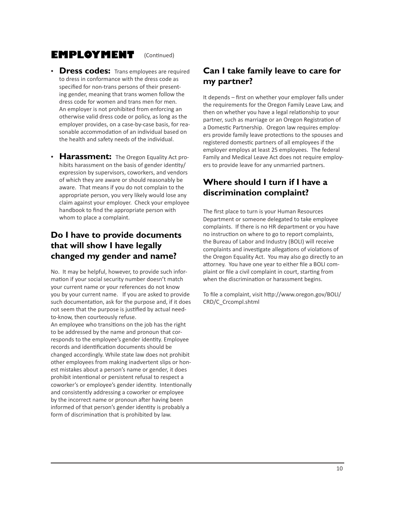### **employment**

(Continued)

- **Dress codes:** Trans employees are required to dress in conformance with the dress code as specified for non-trans persons of their presenting gender, meaning that trans women follow the dress code for women and trans men for men. An employer is not prohibited from enforcing an otherwise valid dress code or policy, as long as the employer provides, on a case-by-case basis, for reasonable accommodation of an individual based on the health and safety needs of the individual.
- **Harassment:** The Oregon Equality Act prohibits harassment on the basis of gender identity/ expression by supervisors, coworkers, and vendors of which they are aware or should reasonably be aware. That means if you do not complain to the appropriate person, you very likely would lose any claim against your employer. Check your employee handbook to find the appropriate person with whom to place a complaint.

### **Do I have to provide documents that will show I have legally changed my gender and name?**

No. It may be helpful, however, to provide such information if your social security number doesn't match your current name or your references do not know you by your current name. If you are asked to provide such documentation, ask for the purpose and, if it does not seem that the purpose is justified by actual needto-know, then courteously refuse.

An employee who transitions on the job has the right to be addressed by the name and pronoun that corresponds to the employee's gender identity. Employee records and identification documents should be changed accordingly. While state law does not prohibit other employees from making inadvertent slips or honest mistakes about a person's name or gender, it does prohibit intentional or persistent refusal to respect a coworker's or employee's gender identity. Intentionally and consistently addressing a coworker or employee by the incorrect name or pronoun after having been informed of that person's gender identity is probably a form of discrimination that is prohibited by law.

#### **Can I take family leave to care for my partner?**

It depends – first on whether your employer falls under the requirements for the Oregon Family Leave Law, and then on whether you have a legal relationship to your partner, such as marriage or an Oregon Registration of a Domestic Partnership. Oregon law requires employers provide family leave protections to the spouses and registered domestic partners of all employees if the employer employs at least 25 employees. The federal Family and Medical Leave Act does not require employers to provide leave for any unmarried partners.

### **Where should I turn if I have a discrimination complaint?**

The first place to turn is your Human Resources Department or someone delegated to take employee complaints. If there is no HR department or you have no instruction on where to go to report complaints, the Bureau of Labor and Industry (BOLI) will receive complaints and investigate allegations of violations of the Oregon Equality Act. You may also go directly to an attorney. You have one year to either file a BOLI complaint or file a civil complaint in court, starting from when the discrimination or harassment begins.

To file a complaint, visit http://www.oregon.gov/BOLI/ CRD/C\_Crcompl.shtml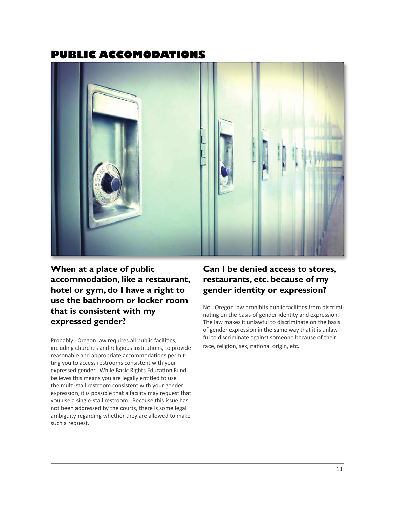### **publIc accomodatIons**



**When at a place of public accommodation, like a restaurant, hotel or gym, do I have a right to use the bathroom or locker room that is consistent with my expressed gender?**

Probably. Oregon law requires all public facilities, including churches and religious institutions, to provide reasonable and appropriate accommodations permitting you to access restrooms consistent with your expressed gender. While Basic Rights Education Fund believes this means you are legally entitled to use the multi-stall restroom consistent with your gender expression, it is possible that a facility may request that you use a single-stall restroom. Because this issue has not been addressed by the courts, there is some legal ambiguity regarding whether they are allowed to make such a request.

#### **Can I be denied access to stores, restaurants, etc. because of my gender identity or expression?**

No. Oregon law prohibits public facilities from discriminating on the basis of gender identity and expression. The law makes it unlawful to discriminate on the basis of gender expression in the same way that it is unlawful to discriminate against someone because of their race, religion, sex, national origin, etc.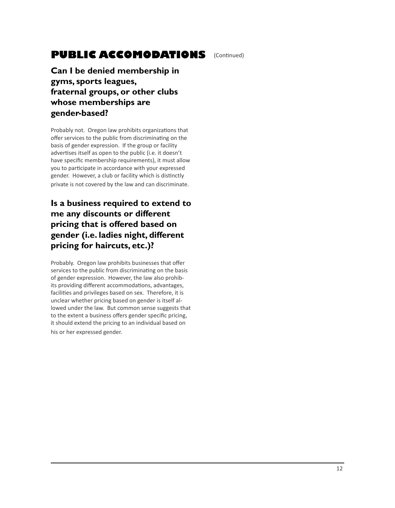# **public accomodations**

**Can I be denied membership in gyms, sports leagues, fraternal groups, or other clubs whose memberships are gender-based?** 

Probably not. Oregon law prohibits organizations that offer services to the public from discriminating on the basis of gender expression. If the group or facility advertises itself as open to the public (i.e. it doesn't have specific membership requirements), it must allow you to participate in accordance with your expressed gender. However, a club or facility which is distinctly private is not covered by the law and can discriminate.

### **Is a business required to extend to me any discounts or different pricing that is offered based on gender (i.e. ladies night, different pricing for haircuts, etc.)?**

Probably. Oregon law prohibits businesses that offer services to the public from discriminating on the basis of gender expression. However, the law also prohibits providing different accommodations, advantages, facilities and privileges based on sex. Therefore, it is unclear whether pricing based on gender is itself allowed under the law. But common sense suggests that to the extent a business offers gender specific pricing, it should extend the pricing to an individual based on his or her expressed gender.

(Continued)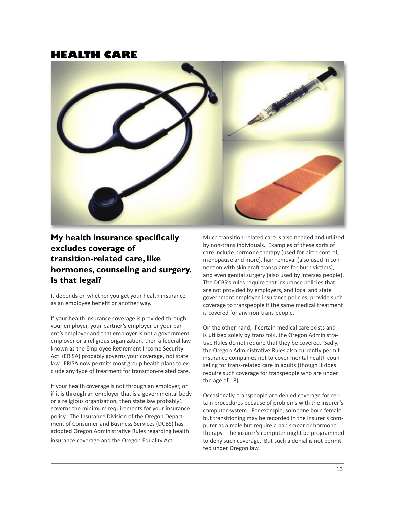#### **HealtH care**



#### **My health insurance specifically excludes coverage of transition-related care, like hormones, counseling and surgery. Is that legal?**

It depends on whether you get your health insurance as an employee benefit or another way.

If your health insurance coverage is provided through your employer, your partner's employer or your parent's employer and that employer is not a government employer or a religious organization, then a federal law known as the Employee Retirement Income Security Act (ERISA) probably governs your coverage, not state law. ERISA now permits most group health plans to exclude any type of treatment for transition-related care.

If your health coverage is not through an employer, or if it is through an employer that is a governmental body or a religious organization, then state law probably  $1$ governs the minimum requirements for your insurance policy. The Insurance Division of the Oregon Department of Consumer and Business Services (DCBS) has adopted Oregon Administrative Rules regarding health insurance coverage and the Oregon Equality Act.

Much transition-related care is also needed and utilized by non-trans individuals. Examples of these sorts of care include hormone therapy (used for birth control, menopause and more), hair removal (also used in connection with skin graft transplants for burn victims), and even genital surgery (also used by intersex people). The DCBS's rules require that insurance policies that are not provided by employers, and local and state government employee insurance policies, provide such coverage to transpeople if the same medical treatment is covered for any non-trans people.

On the other hand, if certain medical care exists and is utilized solely by trans folk, the Oregon Administrative Rules do not require that they be covered. Sadly, the Oregon Administrative Rules also currently permit insurance companies not to cover mental health counseling for trans-related care in adults (though it does require such coverage for transpeople who are under the age of 18).

Occasionally, transpeople are denied coverage for certain procedures because of problems with the insurer's computer system. For example, someone born female but transitioning may be recorded in the insurer's computer as a male but require a pap smear or hormone therapy. The insurer's computer might be programmed to deny such coverage. But such a denial is not permitted under Oregon law.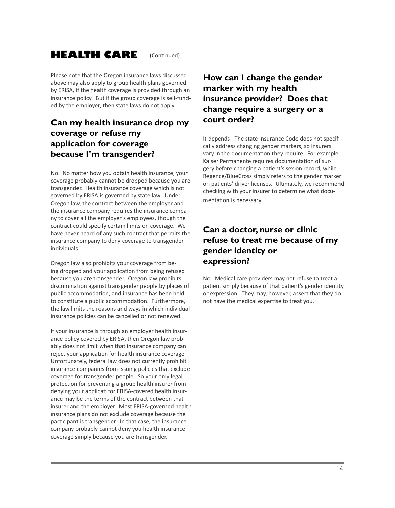#### **Health care** (Continued)

Please note that the Oregon insurance laws discussed above may also apply to group health plans governed by ERISA, if the health coverage is provided through an insurance policy. But if the group coverage is self-funded by the employer, then state laws do not apply.

### **Can my health insurance drop my coverage or refuse my application for coverage because I'm transgender?**

No. No matter how you obtain health insurance, your coverage probably cannot be dropped because you are transgender. Health insurance coverage which is not governed by ERISA is governed by state law. Under Oregon law, the contract between the employer and the insurance company requires the insurance company to cover all the employer's employees, though the contract could specify certain limits on coverage. We have never heard of any such contract that permits the insurance company to deny coverage to transgender individuals.

Oregon law also prohibits your coverage from being dropped and your application from being refused because you are transgender. Oregon law prohibits discrimination against transgender people by places of public accommodation, and insurance has been held to constitute a public accommodation. Furthermore, the law limits the reasons and ways in which individual insurance policies can be cancelled or not renewed.

If your insurance is through an employer health insurance policy covered by ERISA, then Oregon law probably does not limit when that insurance company can reject your application for health insurance coverage. Unfortunately, federal law does not currently prohibit insurance companies from issuing policies that exclude coverage for transgender people. So your only legal protection for preventing a group health insurer from denying your applicati for ERISA-covered health insurance may be the terms of the contract between that insurer and the employer. Most ERISA-governed health insurance plans do not exclude coverage because the participant is transgender. In that case, the insurance company probably cannot deny you health insurance coverage simply because you are transgender.

### **How can I change the gender marker with my health insurance provider? Does that change require a surgery or a court order?**

It depends. The state Insurance Code does not specifically address changing gender markers, so insurers vary in the documentation they require. For example, Kaiser Permanente requires documentation of surgery before changing a patient's sex on record, while Regence/BlueCross simply refers to the gender marker on patients' driver licenses. Ultimately, we recommend checking with your insurer to determine what documentation is necessary.

#### **Can a doctor, nurse or clinic refuse to treat me because of my gender identity or expression?**

No. Medical care providers may not refuse to treat a patient simply because of that patient's gender identity or expression. They may, however, assert that they do not have the medical expertise to treat you.